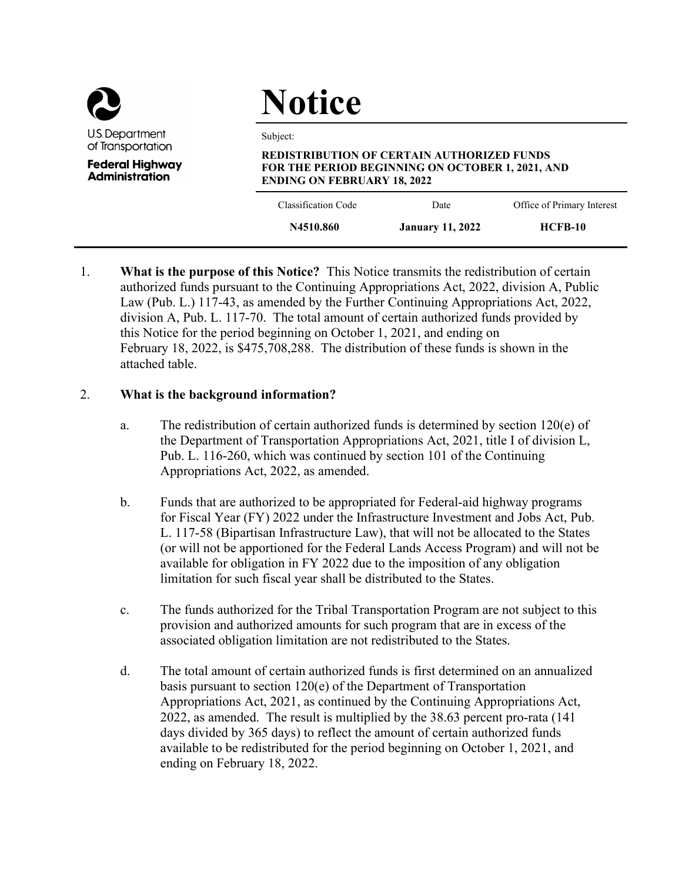

**Administration** 

# Notice

Subject:

# REDISTRIBUTION OF CERTAIN AUTHORIZED FUNDS FOR THE PERIOD BEGINNING ON OCTOBER 1, 2021, AND ENDING ON FEBRUARY 18, 2022

| Classification Code | Date                    | Office of Primary Interest |
|---------------------|-------------------------|----------------------------|
| N4510.860           | <b>January 11, 2022</b> | $HCFB-10$                  |

1. What is the purpose of this Notice? This Notice transmits the redistribution of certain authorized funds pursuant to the Continuing Appropriations Act, 2022, division A, Public Law (Pub. L.) 117-43, as amended by the Further Continuing Appropriations Act, 2022, division A, Pub. L. 117-70. The total amount of certain authorized funds provided by this Notice for the period beginning on October 1, 2021, and ending on February 18, 2022, is \$475,708,288. The distribution of these funds is shown in the attached table.

# 2. What is the background information?

- a. The redistribution of certain authorized funds is determined by section  $120(e)$  of the Department of Transportation Appropriations Act, 2021, title I of division L, Pub. L. 116-260, which was continued by section 101 of the Continuing Appropriations Act, 2022, as amended.
- b. Funds that are authorized to be appropriated for Federal-aid highway programs for Fiscal Year (FY) 2022 under the Infrastructure Investment and Jobs Act, Pub. L. 117-58 (Bipartisan Infrastructure Law), that will not be allocated to the States (or will not be apportioned for the Federal Lands Access Program) and will not be available for obligation in FY 2022 due to the imposition of any obligation limitation for such fiscal year shall be distributed to the States.
- c. The funds authorized for the Tribal Transportation Program are not subject to this provision and authorized amounts for such program that are in excess of the associated obligation limitation are not redistributed to the States.
- d. The total amount of certain authorized funds is first determined on an annualized basis pursuant to section 120(e) of the Department of Transportation Appropriations Act, 2021, as continued by the Continuing Appropriations Act, 2022, as amended. The result is multiplied by the 38.63 percent pro-rata (141 days divided by 365 days) to reflect the amount of certain authorized funds available to be redistributed for the period beginning on October 1, 2021, and ending on February 18, 2022.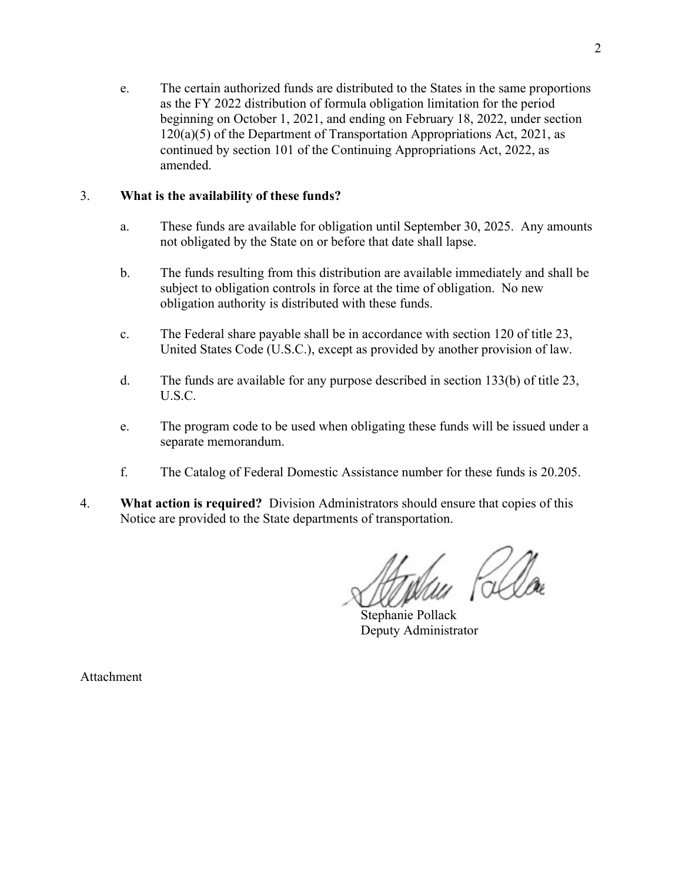e. The certain authorized funds are distributed to the States in the same proportions as the FY 2022 distribution of formula obligation limitation for the period beginning on October 1, 2021, and ending on February 18, 2022, under section  $120(a)(5)$  of the Department of Transportation Appropriations Act, 2021, as continued by section 101 of the Continuing Appropriations Act, 2022, as amended.

## 3. What is the availability of these funds?

- a. These funds are available for obligation until September 30, 2025. Any amounts not obligated by the State on or before that date shall lapse.
- b. The funds resulting from this distribution are available immediately and shall be subject to obligation controls in force at the time of obligation. No new obligation authority is distributed with these funds.
- c. The Federal share payable shall be in accordance with section 120 of title 23, United States Code (U.S.C.), except as provided by another provision of law.
- d. The funds are available for any purpose described in section 133(b) of title 23, U.S.C.
- e. The program code to be used when obligating these funds will be issued under a separate memorandum.
- f. The Catalog of Federal Domestic Assistance number for these funds is 20.205.
- 4. What action is required? Division Administrators should ensure that copies of this Notice are provided to the State departments of transportation.

Stephanie Pollack Deputy Administrator

Attachment